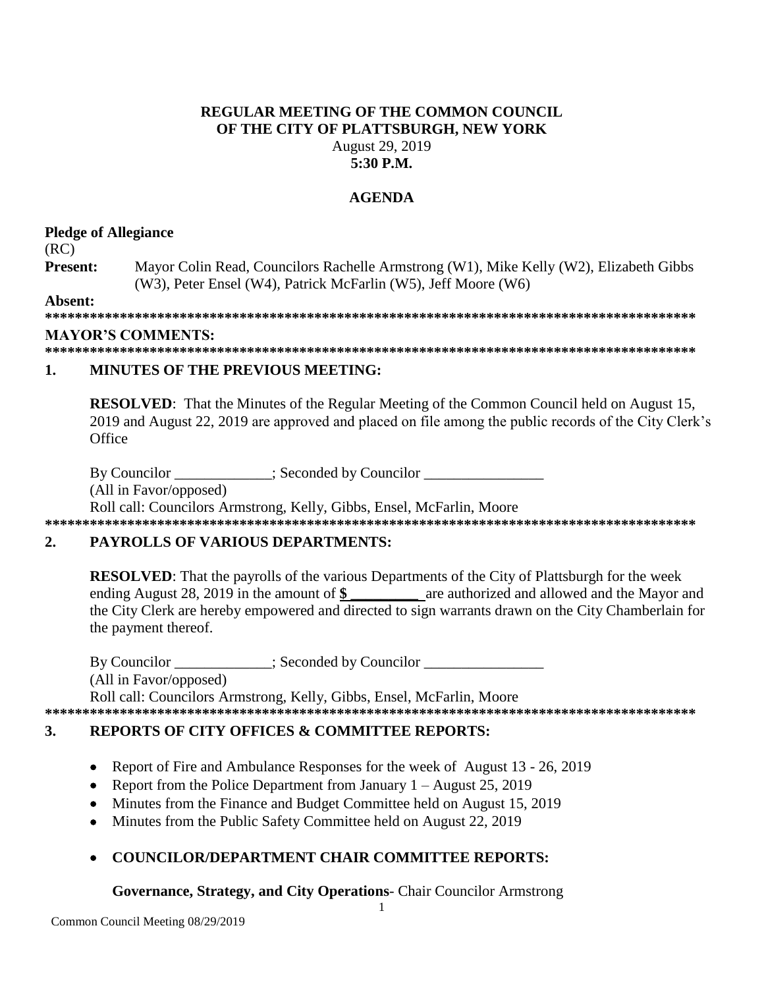### **REGULAR MEETING OF THE COMMON COUNCIL OF THE CITY OF PLATTSBURGH, NEW YORK** August 29, 2019 **5:30 P.M.**

### **AGENDA**

### **Pledge of Allegiance**

(RC)

**Present:** Mayor Colin Read, Councilors Rachelle Armstrong (W1), Mike Kelly (W2), Elizabeth Gibbs (W3), Peter Ensel (W4), Patrick McFarlin (W5), Jeff Moore (W6)

**Absent:**

**\*\*\*\*\*\*\*\*\*\*\*\*\*\*\*\*\*\*\*\*\*\*\*\*\*\*\*\*\*\*\*\*\*\*\*\*\*\*\*\*\*\*\*\*\*\*\*\*\*\*\*\*\*\*\*\*\*\*\*\*\*\*\*\*\*\*\*\*\*\*\*\*\*\*\*\*\*\*\*\*\*\*\*\*\*\*\***

### **MAYOR'S COMMENTS:**

**\*\*\*\*\*\*\*\*\*\*\*\*\*\*\*\*\*\*\*\*\*\*\*\*\*\*\*\*\*\*\*\*\*\*\*\*\*\*\*\*\*\*\*\*\*\*\*\*\*\*\*\*\*\*\*\*\*\*\*\*\*\*\*\*\*\*\*\*\*\*\*\*\*\*\*\*\*\*\*\*\*\*\*\*\*\*\***

### **1. MINUTES OF THE PREVIOUS MEETING:**

**RESOLVED**: That the Minutes of the Regular Meeting of the Common Council held on August 15, 2019 and August 22, 2019 are approved and placed on file among the public records of the City Clerk's **Office** 

By Councilor \_\_\_\_\_\_\_\_\_\_; Seconded by Councilor \_\_\_\_\_\_\_\_\_\_\_\_\_\_\_\_\_\_\_\_\_\_\_\_\_\_\_\_\_\_\_\_\_

(All in Favor/opposed)

Roll call: Councilors Armstrong, Kelly, Gibbs, Ensel, McFarlin, Moore **\*\*\*\*\*\*\*\*\*\*\*\*\*\*\*\*\*\*\*\*\*\*\*\*\*\*\*\*\*\*\*\*\*\*\*\*\*\*\*\*\*\*\*\*\*\*\*\*\*\*\*\*\*\*\*\*\*\*\*\*\*\*\*\*\*\*\*\*\*\*\*\*\*\*\*\*\*\*\*\*\*\*\*\*\*\*\***

# **2. PAYROLLS OF VARIOUS DEPARTMENTS:**

**RESOLVED**: That the payrolls of the various Departments of the City of Plattsburgh for the week ending August 28, 2019 in the amount of **\$ \_\_\_\_\_\_\_\_\_** are authorized and allowed and the Mayor and the City Clerk are hereby empowered and directed to sign warrants drawn on the City Chamberlain for the payment thereof.

By Councilor \_\_\_\_\_\_\_\_\_\_\_; Seconded by Councilor \_\_\_\_\_\_\_\_\_\_\_\_\_\_\_\_\_\_\_\_\_\_\_\_\_\_\_\_\_\_\_\_ (All in Favor/opposed) Roll call: Councilors Armstrong, Kelly, Gibbs, Ensel, McFarlin, Moore **\*\*\*\*\*\*\*\*\*\*\*\*\*\*\*\*\*\*\*\*\*\*\*\*\*\*\*\*\*\*\*\*\*\*\*\*\*\*\*\*\*\*\*\*\*\*\*\*\*\*\*\*\*\*\*\*\*\*\*\*\*\*\*\*\*\*\*\*\*\*\*\*\*\*\*\*\*\*\*\*\*\*\*\*\*\*\***

# **3. REPORTS OF CITY OFFICES & COMMITTEE REPORTS:**

- Report of Fire and Ambulance Responses for the week of August 13 26, 2019
- Report from the Police Department from January  $1 -$  August 25, 2019
- Minutes from the Finance and Budget Committee held on August 15, 2019
- Minutes from the Public Safety Committee held on August 22, 2019

# **COUNCILOR/DEPARTMENT CHAIR COMMITTEE REPORTS:**

# **Governance, Strategy, and City Operations**- Chair Councilor Armstrong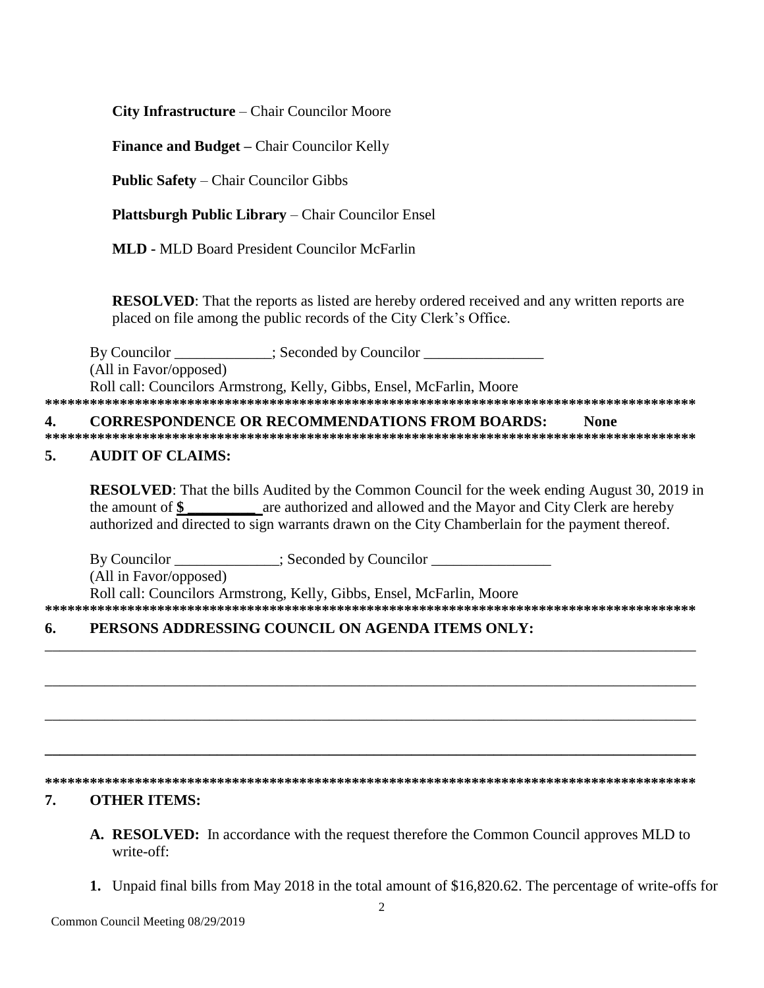City Infrastructure – Chair Councilor Moore

**Finance and Budget – Chair Councilor Kelly** 

**Public Safety - Chair Councilor Gibbs** 

**Plattsburgh Public Library – Chair Councilor Ensel** 

**MLD - MLD Board President Councilor McFarlin** 

RESOLVED: That the reports as listed are hereby ordered received and any written reports are placed on file among the public records of the City Clerk's Office.

By Councilor \_\_\_\_\_\_\_\_\_\_\_\_; Seconded by Councilor \_\_\_\_\_\_\_\_\_\_\_\_\_\_\_\_\_\_\_\_\_\_\_\_\_\_\_\_\_\_\_ (All in Favor/opposed) Roll call: Councilors Armstrong, Kelly, Gibbs, Ensel, McFarlin, Moore 

**CORRESPONDENCE OR RECOMMENDATIONS FROM BOARDS:**  $\overline{4}$ . **None** 

#### $\overline{5}$ . **AUDIT OF CLAIMS:**

**RESOLVED:** That the bills Audited by the Common Council for the week ending August 30, 2019 in the amount of \$ are authorized and allowed and the Mayor and City Clerk are hereby authorized and directed to sign warrants drawn on the City Chamberlain for the payment thereof.

By Councilor \_\_\_\_\_\_\_\_\_\_\_\_; Seconded by Councilor \_\_\_\_\_\_\_\_\_\_\_\_\_\_\_\_\_\_\_\_\_\_\_\_\_\_\_\_\_\_\_ (All in Favor/opposed) Roll call: Councilors Armstrong, Kelly, Gibbs, Ensel, McFarlin, Moore 

#### PERSONS ADDRESSING COUNCIL ON AGENDA ITEMS ONLY: 6.

### 

#### 7. **OTHER ITEMS:**

- A. RESOLVED: In accordance with the request therefore the Common Council approves MLD to write-off:
- 1. Unpaid final bills from May 2018 in the total amount of \$16,820.62. The percentage of write-offs for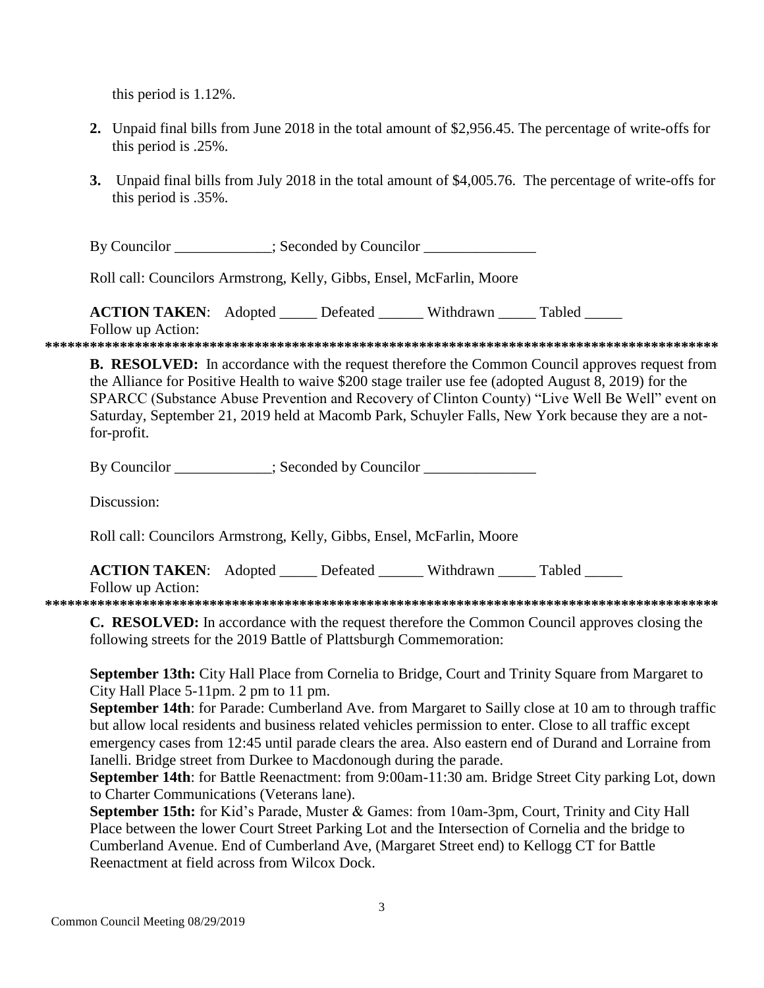this period is 1.12%.

- **2.** Unpaid final bills from June 2018 in the total amount of \$2,956.45. The percentage of write-offs for this period is .25%.
- **3.** Unpaid final bills from July 2018 in the total amount of \$4,005.76. The percentage of write-offs for this period is .35%.

By Councilor \_\_\_\_\_\_\_\_\_\_; Seconded by Councilor \_\_\_\_\_\_\_\_\_\_\_\_\_\_\_\_\_\_\_\_\_\_\_\_\_\_\_\_\_\_\_\_\_

Roll call: Councilors Armstrong, Kelly, Gibbs, Ensel, McFarlin, Moore

**ACTION TAKEN:** Adopted \_\_\_\_\_ Defeated \_\_\_\_\_ Withdrawn Tabled

Follow up Action:

**\*\*\*\*\*\*\*\*\*\*\*\*\*\*\*\*\*\*\*\*\*\*\*\*\*\*\*\*\*\*\*\*\*\*\*\*\*\*\*\*\*\*\*\*\*\*\*\*\*\*\*\*\*\*\*\*\*\*\*\*\*\*\*\*\*\*\*\*\*\*\*\*\*\*\*\*\*\*\*\*\*\*\*\*\*\*\*\*\*\***

**B. RESOLVED:** In accordance with the request therefore the Common Council approves request from the Alliance for Positive Health to waive \$200 stage trailer use fee (adopted August 8, 2019) for the SPARCC (Substance Abuse Prevention and Recovery of Clinton County) "Live Well Be Well" event on Saturday, September 21, 2019 held at Macomb Park, Schuyler Falls, New York because they are a notfor-profit.

By Councilor \_\_\_\_\_\_\_\_\_\_; Seconded by Councilor \_\_\_\_\_\_\_\_\_\_\_\_\_\_\_\_\_\_\_\_\_\_\_\_\_\_\_\_\_\_\_\_\_

Discussion:

Roll call: Councilors Armstrong, Kelly, Gibbs, Ensel, McFarlin, Moore

**ACTION TAKEN:** Adopted \_\_\_\_\_ Defeated \_\_\_\_\_\_ Withdrawn \_\_\_\_\_ Tabled \_\_\_\_\_ Follow up Action:

**\*\*\*\*\*\*\*\*\*\*\*\*\*\*\*\*\*\*\*\*\*\*\*\*\*\*\*\*\*\*\*\*\*\*\*\*\*\*\*\*\*\*\*\*\*\*\*\*\*\*\*\*\*\*\*\*\*\*\*\*\*\*\*\*\*\*\*\*\*\*\*\*\*\*\*\*\*\*\*\*\*\*\*\*\*\*\*\*\*\***

**C. RESOLVED:** In accordance with the request therefore the Common Council approves closing the following streets for the 2019 Battle of Plattsburgh Commemoration:

**September 13th:** City Hall Place from Cornelia to Bridge, Court and Trinity Square from Margaret to City Hall Place 5-11pm. 2 pm to 11 pm.

**September 14th**: for Parade: Cumberland Ave. from Margaret to Sailly close at 10 am to through traffic but allow local residents and business related vehicles permission to enter. Close to all traffic except emergency cases from 12:45 until parade clears the area. Also eastern end of Durand and Lorraine from Ianelli. Bridge street from Durkee to Macdonough during the parade.

**September 14th**: for Battle Reenactment: from 9:00am-11:30 am. Bridge Street City parking Lot, down to Charter Communications (Veterans lane).

**September 15th:** for Kid's Parade, Muster & Games: from 10am-3pm, Court, Trinity and City Hall Place between the lower Court Street Parking Lot and the Intersection of Cornelia and the bridge to Cumberland Avenue. End of Cumberland Ave, (Margaret Street end) to Kellogg CT for Battle Reenactment at field across from Wilcox Dock.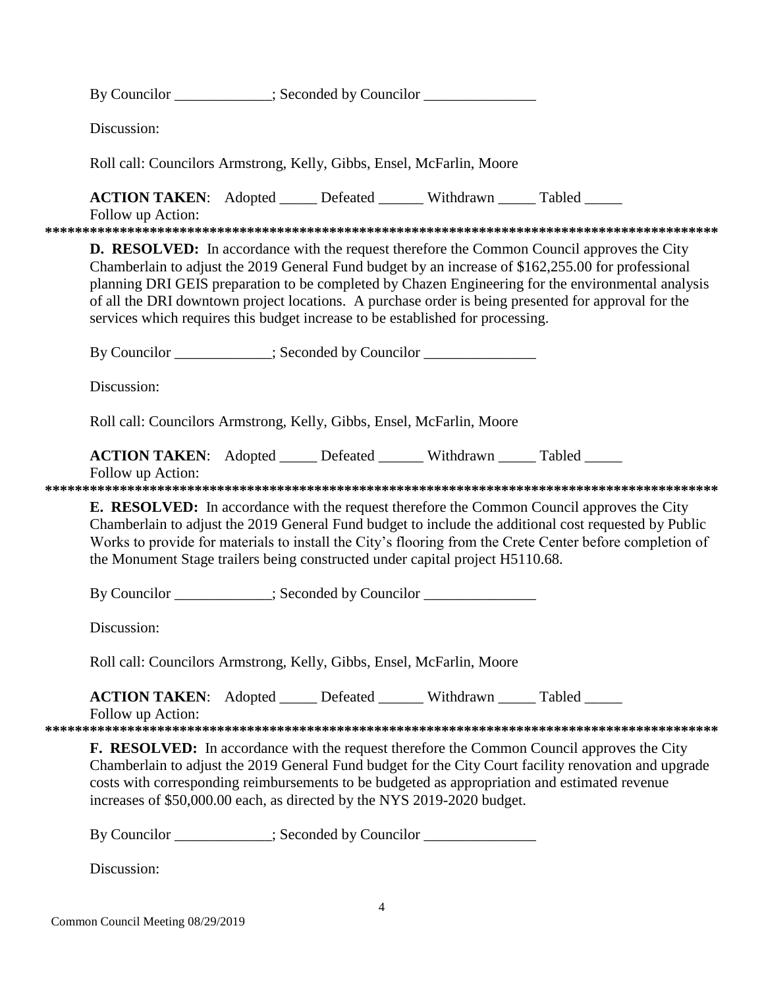|                                                                                                      | By Councilor ___________; Seconded by Councilor _______________                                                                                                                                                                                                                                                                                                                                                                                                                                        |  |  |  |  |
|------------------------------------------------------------------------------------------------------|--------------------------------------------------------------------------------------------------------------------------------------------------------------------------------------------------------------------------------------------------------------------------------------------------------------------------------------------------------------------------------------------------------------------------------------------------------------------------------------------------------|--|--|--|--|
|                                                                                                      | Discussion:                                                                                                                                                                                                                                                                                                                                                                                                                                                                                            |  |  |  |  |
|                                                                                                      | Roll call: Councilors Armstrong, Kelly, Gibbs, Ensel, McFarlin, Moore                                                                                                                                                                                                                                                                                                                                                                                                                                  |  |  |  |  |
|                                                                                                      | <b>ACTION TAKEN:</b> Adopted _____ Defeated ______ Withdrawn _____ Tabled _____<br>Follow up Action:                                                                                                                                                                                                                                                                                                                                                                                                   |  |  |  |  |
|                                                                                                      | <b>D. RESOLVED:</b> In accordance with the request therefore the Common Council approves the City<br>Chamberlain to adjust the 2019 General Fund budget by an increase of \$162,255.00 for professional<br>planning DRI GEIS preparation to be completed by Chazen Engineering for the environmental analysis<br>of all the DRI downtown project locations. A purchase order is being presented for approval for the<br>services which requires this budget increase to be established for processing. |  |  |  |  |
|                                                                                                      | By Councilor ___________; Seconded by Councilor ______________                                                                                                                                                                                                                                                                                                                                                                                                                                         |  |  |  |  |
|                                                                                                      | Discussion:<br>Roll call: Councilors Armstrong, Kelly, Gibbs, Ensel, McFarlin, Moore                                                                                                                                                                                                                                                                                                                                                                                                                   |  |  |  |  |
|                                                                                                      |                                                                                                                                                                                                                                                                                                                                                                                                                                                                                                        |  |  |  |  |
| <b>ACTION TAKEN:</b> Adopted _____ Defeated ______ Withdrawn _____ Tabled _____<br>Follow up Action: |                                                                                                                                                                                                                                                                                                                                                                                                                                                                                                        |  |  |  |  |
|                                                                                                      | <b>E. RESOLVED:</b> In accordance with the request therefore the Common Council approves the City<br>Chamberlain to adjust the 2019 General Fund budget to include the additional cost requested by Public<br>Works to provide for materials to install the City's flooring from the Crete Center before completion of<br>the Monument Stage trailers being constructed under capital project H5110.68.<br>By Councilor ___________; Seconded by Councilor _______________                             |  |  |  |  |
|                                                                                                      |                                                                                                                                                                                                                                                                                                                                                                                                                                                                                                        |  |  |  |  |
|                                                                                                      | Discussion:                                                                                                                                                                                                                                                                                                                                                                                                                                                                                            |  |  |  |  |
|                                                                                                      | Roll call: Councilors Armstrong, Kelly, Gibbs, Ensel, McFarlin, Moore                                                                                                                                                                                                                                                                                                                                                                                                                                  |  |  |  |  |
|                                                                                                      | ACTION TAKEN: Adopted _____ Defeated ______ Withdrawn _____ Tabled _____<br>Follow up Action:                                                                                                                                                                                                                                                                                                                                                                                                          |  |  |  |  |
|                                                                                                      | <b>F. RESOLVED:</b> In accordance with the request therefore the Common Council approves the City<br>Chamberlain to adjust the 2019 General Fund budget for the City Court facility renovation and upgrade<br>costs with corresponding reimbursements to be budgeted as appropriation and estimated revenue<br>increases of \$50,000.00 each, as directed by the NYS 2019-2020 budget.<br>By Councilor ____________; Seconded by Councilor _______________________________                             |  |  |  |  |
|                                                                                                      |                                                                                                                                                                                                                                                                                                                                                                                                                                                                                                        |  |  |  |  |
|                                                                                                      | Discussion:                                                                                                                                                                                                                                                                                                                                                                                                                                                                                            |  |  |  |  |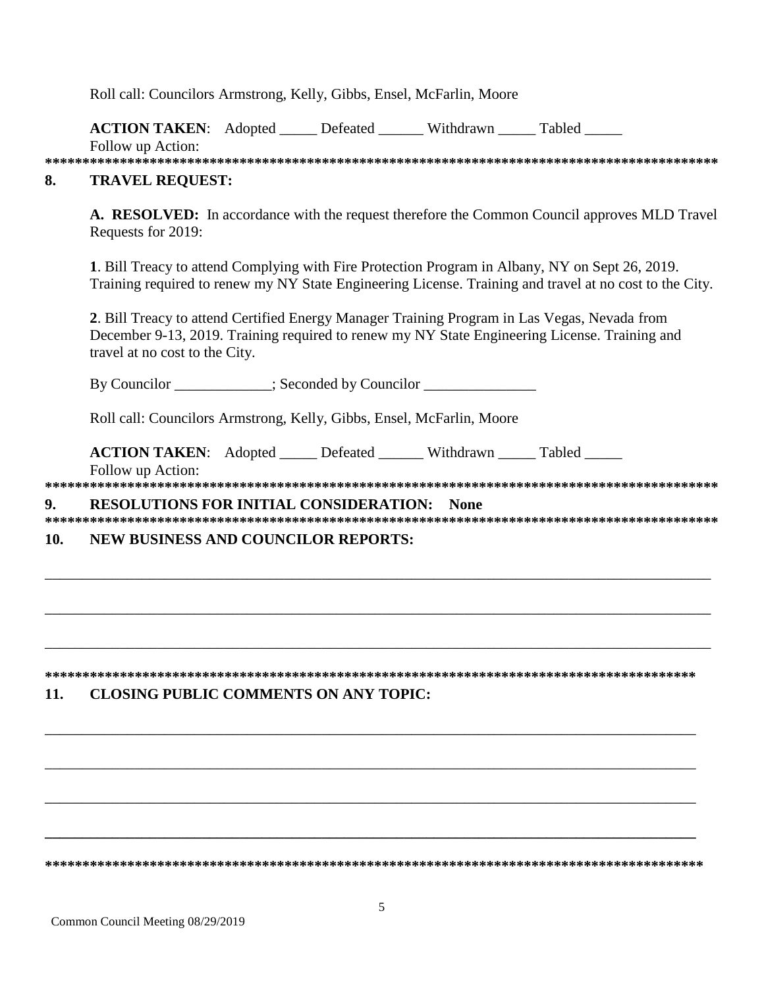Roll call: Councilors Armstrong, Kelly, Gibbs, Ensel, McFarlin, Moore

**ACTION TAKEN:** Adopted Defeated Withdrawn Tabled Follow up Action:

**\*\*\*\*\*\*\*\*\*\*\*\*\*\*\*\*\*\*\*\*\*\*\*\*\*\*\*\*\*\*\*\*\*\*\*\*\*\*\*\*\*\*\*\*\*\*\*\*\*\*\*\*\*\*\*\*\*\*\*\*\*\*\*\*\*\*\*\*\*\*\*\*\*\*\*\*\*\*\*\*\*\*\*\*\*\*\*\*\*\***

### **8. TRAVEL REQUEST:**

**A. RESOLVED:** In accordance with the request therefore the Common Council approves MLD Travel Requests for 2019:

**1**. Bill Treacy to attend Complying with Fire Protection Program in Albany, NY on Sept 26, 2019. Training required to renew my NY State Engineering License. Training and travel at no cost to the City.

**2**. Bill Treacy to attend Certified Energy Manager Training Program in Las Vegas, Nevada from December 9-13, 2019. Training required to renew my NY State Engineering License. Training and travel at no cost to the City.

By Councilor \_\_\_\_\_\_\_\_\_\_\_; Seconded by Councilor \_\_\_\_\_\_\_\_\_\_\_\_\_\_\_\_\_\_\_\_\_\_\_\_\_\_\_\_\_\_\_\_

Roll call: Councilors Armstrong, Kelly, Gibbs, Ensel, McFarlin, Moore

**ACTION TAKEN:** Adopted Defeated Withdrawn Tabled

Follow up Action: **\*\*\*\*\*\*\*\*\*\*\*\*\*\*\*\*\*\*\*\*\*\*\*\*\*\*\*\*\*\*\*\*\*\*\*\*\*\*\*\*\*\*\*\*\*\*\*\*\*\*\*\*\*\*\*\*\*\*\*\*\*\*\*\*\*\*\*\*\*\*\*\*\*\*\*\*\*\*\*\*\*\*\*\*\*\*\*\*\*\***

# **9. RESOLUTIONS FOR INITIAL CONSIDERATION: None**

**\*\*\*\*\*\*\*\*\*\*\*\*\*\*\*\*\*\*\*\*\*\*\*\*\*\*\*\*\*\*\*\*\*\*\*\*\*\*\*\*\*\*\*\*\*\*\*\*\*\*\*\*\*\*\*\*\*\*\*\*\*\*\*\*\*\*\*\*\*\*\*\*\*\*\*\*\*\*\*\*\*\*\*\*\*\*\*\*\*\***

\_\_\_\_\_\_\_\_\_\_\_\_\_\_\_\_\_\_\_\_\_\_\_\_\_\_\_\_\_\_\_\_\_\_\_\_\_\_\_\_\_\_\_\_\_\_\_\_\_\_\_\_\_\_\_\_\_\_\_\_\_\_\_\_\_\_\_\_\_\_\_\_\_\_\_\_\_\_\_\_\_\_\_\_\_\_\_\_\_

\_\_\_\_\_\_\_\_\_\_\_\_\_\_\_\_\_\_\_\_\_\_\_\_\_\_\_\_\_\_\_\_\_\_\_\_\_\_\_\_\_\_\_\_\_\_\_\_\_\_\_\_\_\_\_\_\_\_\_\_\_\_\_\_\_\_\_\_\_\_\_\_\_\_\_\_\_\_\_\_\_\_\_\_\_\_\_\_\_

\_\_\_\_\_\_\_\_\_\_\_\_\_\_\_\_\_\_\_\_\_\_\_\_\_\_\_\_\_\_\_\_\_\_\_\_\_\_\_\_\_\_\_\_\_\_\_\_\_\_\_\_\_\_\_\_\_\_\_\_\_\_\_\_\_\_\_\_\_\_\_\_\_\_\_\_\_\_\_\_\_\_\_\_\_\_\_\_\_

\_\_\_\_\_\_\_\_\_\_\_\_\_\_\_\_\_\_\_\_\_\_\_\_\_\_\_\_\_\_\_\_\_\_\_\_\_\_\_\_\_\_\_\_\_\_\_\_\_\_\_\_\_\_\_\_\_\_\_\_\_\_\_\_\_\_\_\_\_\_\_\_\_\_\_\_\_\_\_\_\_\_\_\_\_\_\_

\_\_\_\_\_\_\_\_\_\_\_\_\_\_\_\_\_\_\_\_\_\_\_\_\_\_\_\_\_\_\_\_\_\_\_\_\_\_\_\_\_\_\_\_\_\_\_\_\_\_\_\_\_\_\_\_\_\_\_\_\_\_\_\_\_\_\_\_\_\_\_\_\_\_\_\_\_\_\_\_\_\_\_\_\_\_\_

\_\_\_\_\_\_\_\_\_\_\_\_\_\_\_\_\_\_\_\_\_\_\_\_\_\_\_\_\_\_\_\_\_\_\_\_\_\_\_\_\_\_\_\_\_\_\_\_\_\_\_\_\_\_\_\_\_\_\_\_\_\_\_\_\_\_\_\_\_\_\_\_\_\_\_\_\_\_\_\_\_\_\_\_\_\_\_

**\_\_\_\_\_\_\_\_\_\_\_\_\_\_\_\_\_\_\_\_\_\_\_\_\_\_\_\_\_\_\_\_\_\_\_\_\_\_\_\_\_\_\_\_\_\_\_\_\_\_\_\_\_\_\_\_\_\_\_\_\_\_\_\_\_\_\_\_\_\_\_\_\_\_\_\_\_\_\_\_\_\_\_\_\_\_\_**

**\*\*\*\*\*\*\*\*\*\*\*\*\*\*\*\*\*\*\*\*\*\*\*\*\*\*\*\*\*\*\*\*\*\*\*\*\*\*\*\*\*\*\*\*\*\*\*\*\*\*\*\*\*\*\*\*\*\*\*\*\*\*\*\*\*\*\*\*\*\*\*\*\*\*\*\*\*\*\*\*\*\*\*\*\*\*\*\***

# **10. NEW BUSINESS AND COUNCILOR REPORTS:**

# **\*\*\*\*\*\*\*\*\*\*\*\*\*\*\*\*\*\*\*\*\*\*\*\*\*\*\*\*\*\*\*\*\*\*\*\*\*\*\*\*\*\*\*\*\*\*\*\*\*\*\*\*\*\*\*\*\*\*\*\*\*\*\*\*\*\*\*\*\*\*\*\*\*\*\*\*\*\*\*\*\*\*\*\*\*\*\***

# **11. CLOSING PUBLIC COMMENTS ON ANY TOPIC:**